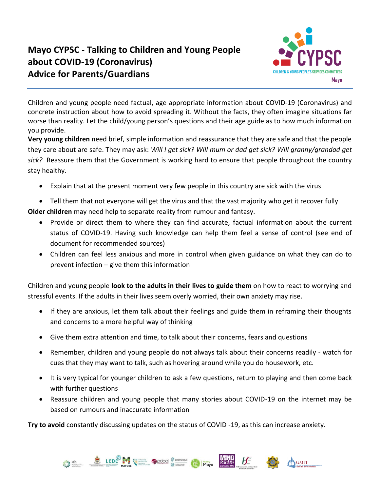

GMIT

Children and young people need factual, age appropriate information about COVID-19 (Coronavirus) and concrete instruction about how to avoid spreading it. Without the facts, they often imagine situations far worse than reality. Let the child/young person's questions and their age guide as to how much information you provide.

**Very young children** need brief, simple information and reassurance that they are safe and that the people they care about are safe. They may ask: *Will I get sick? Will mum or dad get sick? Will granny/grandad get sick?* Reassure them that the Government is working hard to ensure that people throughout the country stay healthy.

- Explain that at the present moment very few people in this country are sick with the virus
- Tell them that not everyone will get the virus and that the vast majority who get it recover fully **Older children** may need help to separate reality from rumour and fantasy.
	- Provide or direct them to where they can find accurate, factual information about the current status of COVID-19. Having such knowledge can help them feel a sense of control (see end of document for recommended sources)
	- Children can feel less anxious and more in control when given guidance on what they can do to prevent infection – give them this information

Children and young people **look to the adults in their lives to guide them** on how to react to worrying and stressful events. If the adults in their lives seem overly worried, their own anxiety may rise.

- If they are anxious, let them talk about their feelings and guide them in reframing their thoughts and concerns to a more helpful way of thinking
- Give them extra attention and time, to talk about their concerns, fears and questions
- Remember, children and young people do not always talk about their concerns readily watch for cues that they may want to talk, such as hovering around while you do housework, etc.
- It is very typical for younger children to ask a few questions, return to playing and then come back with further questions
- Reassure children and young people that many stories about COVID-19 on the internet may be based on rumours and inaccurate information

**Try to avoid** constantly discussing updates on the status of COVID -19, as this can increase anxiety.